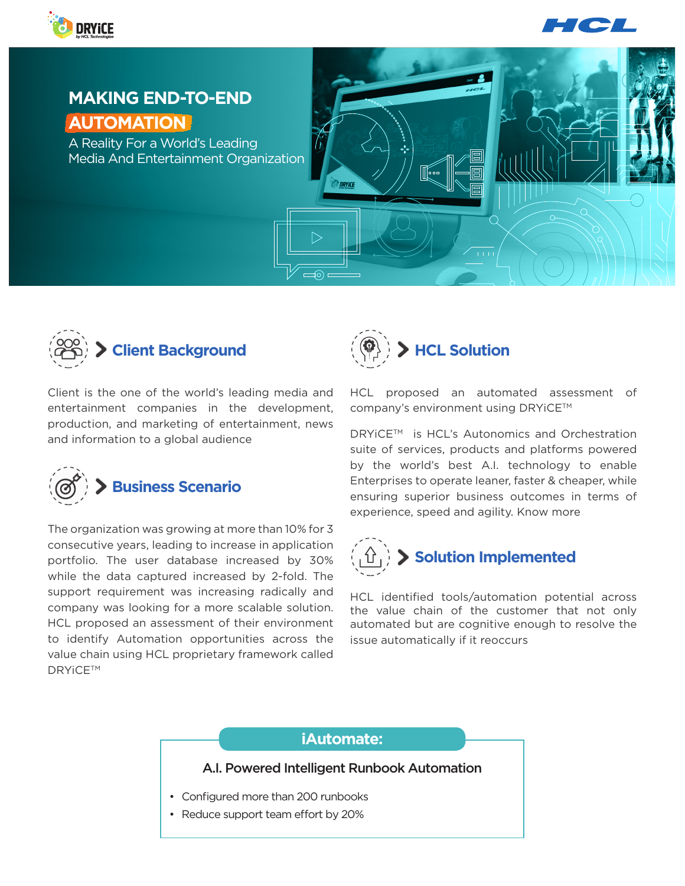



# **MAKING END-TO-END AUTOMATION**

A Reality For a World's Leading Media And Entertainment Organization





Client is the one of the world's leading media and entertainment companies in the development, production, and marketing of entertainment, news and information to a global audience



The organization was growing at more than 10% for 3 consecutive years, leading to increase in application portfolio. The user database increased by 30% while the data captured increased by 2-fold. The support requirement was increasing radically and company was looking for a more scalable solution. HCL proposed an assessment of their environment to identify Automation opportunities across the value chain using HCL proprietary framework called **DRYiCE™** 



HCL proposed an automated assessment of company's environment using DRYiCE™

DRYICE™ is HCL's Autonomics and Orchestration suite of services, products and platforms powered by the world's best A.I. technology to enable Enterprises to operate leaner, faster & cheaper, while ensuring superior business outcomes in terms of experience, speed and agility. [Know more](https://www.hcltech.com/autonomics-and-orchestration)



HCL identified tools/automation potential across the value chain of the customer that not only automated but are cognitive enough to resolve the issue automatically if it reoccurs

## **iAutomate:**

#### A.I. Powered Intelligent Runbook Automation

- Configured more than 200 runbooks
- Reduce support team effort by 20%